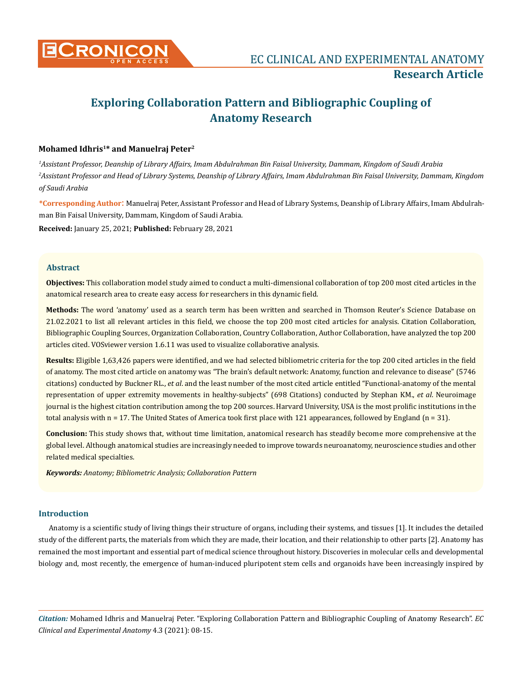

# **Exploring Collaboration Pattern and Bibliographic Coupling of Anatomy Research**

# **Mohamed Idhris1\* and Manuelraj Peter2**

*1 Assistant Professor, Deanship of Library Affairs, Imam Abdulrahman Bin Faisal University, Dammam, Kingdom of Saudi Arabia 2 Assistant Professor and Head of Library Systems, Deanship of Library Affairs, Imam Abdulrahman Bin Faisal University, Dammam, Kingdom of Saudi Arabia*

**\*Corresponding Author**: Manuelraj Peter, Assistant Professor and Head of Library Systems, Deanship of Library Affairs, Imam Abdulrahman Bin Faisal University, Dammam, Kingdom of Saudi Arabia.

**Received:** January 25, 2021; **Published:** February 28, 2021

#### **Abstract**

**Objectives:** This collaboration model study aimed to conduct a multi-dimensional collaboration of top 200 most cited articles in the anatomical research area to create easy access for researchers in this dynamic field.

**Methods:** The word 'anatomy' used as a search term has been written and searched in Thomson Reuter's Science Database on 21.02.2021 to list all relevant articles in this field, we choose the top 200 most cited articles for analysis. Citation Collaboration, Bibliographic Coupling Sources, Organization Collaboration, Country Collaboration, Author Collaboration, have analyzed the top 200 articles cited. VOSviewer version 1.6.11 was used to visualize collaborative analysis.

**Results:** Eligible 1,63,426 papers were identified, and we had selected bibliometric criteria for the top 200 cited articles in the field of anatomy. The most cited article on anatomy was "The brain's default network: Anatomy, function and relevance to disease" (5746 citations) conducted by Buckner RL., *et al*. and the least number of the most cited article entitled "Functional-anatomy of the mental representation of upper extremity movements in healthy-subjects" (698 Citations) conducted by Stephan KM., *et al*. Neuroimage journal is the highest citation contribution among the top 200 sources. Harvard University, USA is the most prolific institutions in the total analysis with  $n = 17$ . The United States of America took first place with 121 appearances, followed by England ( $n = 31$ ).

**Conclusion:** This study shows that, without time limitation, anatomical research has steadily become more comprehensive at the global level. Although anatomical studies are increasingly needed to improve towards neuroanatomy, neuroscience studies and other related medical specialties.

*Keywords: Anatomy; Bibliometric Analysis; Collaboration Pattern*

## **Introduction**

Anatomy is a scientific study of living things their structure of organs, including their systems, and tissues [1]. It includes the detailed study of the different parts, the materials from which they are made, their location, and their relationship to other parts [2]. Anatomy has remained the most important and essential part of medical science throughout history. Discoveries in molecular cells and developmental biology and, most recently, the emergence of human-induced pluripotent stem cells and organoids have been increasingly inspired by

*Citation:* Mohamed Idhris and Manuelraj Peter. "Exploring Collaboration Pattern and Bibliographic Coupling of Anatomy Research". *EC Clinical and Experimental Anatomy* 4.3 (2021): 08-15.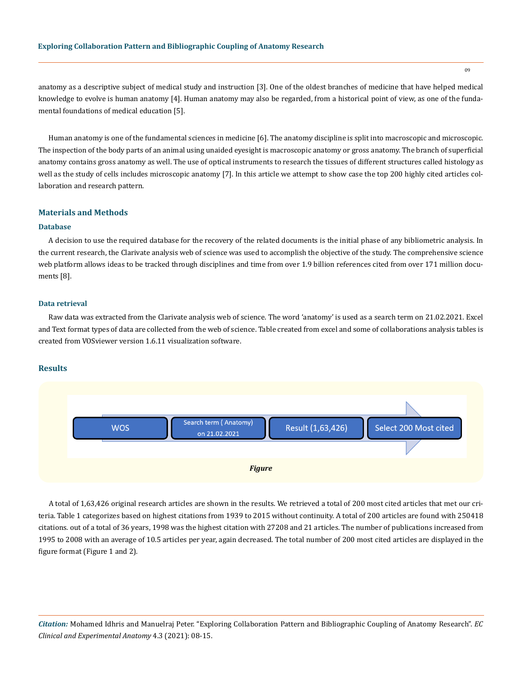anatomy as a descriptive subject of medical study and instruction [3]. One of the oldest branches of medicine that have helped medical knowledge to evolve is human anatomy [4]. Human anatomy may also be regarded, from a historical point of view, as one of the fundamental foundations of medical education [5].

Human anatomy is one of the fundamental sciences in medicine [6]. The anatomy discipline is split into macroscopic and microscopic. The inspection of the body parts of an animal using unaided eyesight is macroscopic anatomy or gross anatomy. The branch of superficial anatomy contains gross anatomy as well. The use of optical instruments to research the tissues of different structures called histology as well as the study of cells includes microscopic anatomy [7]. In this article we attempt to show case the top 200 highly cited articles collaboration and research pattern.

#### **Materials and Methods**

## **Database**

A decision to use the required database for the recovery of the related documents is the initial phase of any bibliometric analysis. In the current research, the Clarivate analysis web of science was used to accomplish the objective of the study. The comprehensive science web platform allows ideas to be tracked through disciplines and time from over 1.9 billion references cited from over 171 million documents [8].

#### **Data retrieval**

Raw data was extracted from the Clarivate analysis web of science. The word 'anatomy' is used as a search term on 21.02.2021. Excel and Text format types of data are collected from the web of science. Table created from excel and some of collaborations analysis tables is created from VOSviewer version 1.6.11 visualization software.

#### **Results**



A total of 1,63,426 original research articles are shown in the results. We retrieved a total of 200 most cited articles that met our criteria. Table 1 categorizes based on highest citations from 1939 to 2015 without continuity. A total of 200 articles are found with 250418 citations. out of a total of 36 years, 1998 was the highest citation with 27208 and 21 articles. The number of publications increased from 1995 to 2008 with an average of 10.5 articles per year, again decreased. The total number of 200 most cited articles are displayed in the figure format (Figure 1 and 2).

*Citation:* Mohamed Idhris and Manuelraj Peter. "Exploring Collaboration Pattern and Bibliographic Coupling of Anatomy Research". *EC Clinical and Experimental Anatomy* 4.3 (2021): 08-15.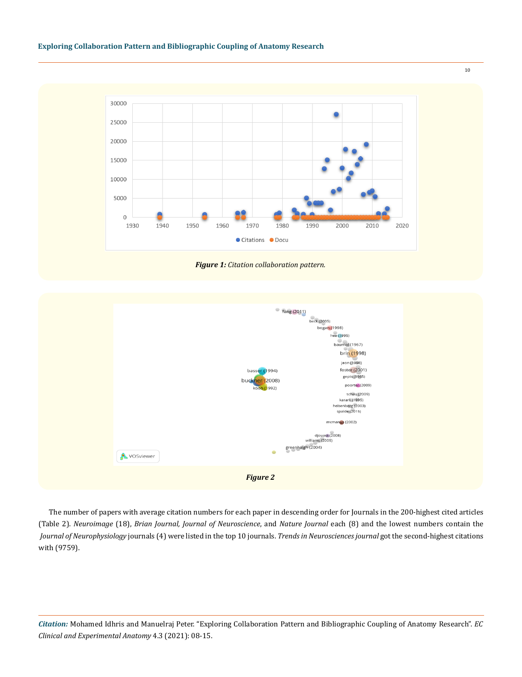## **Exploring Collaboration Pattern and Bibliographic Coupling of Anatomy Research**







The number of papers with average citation numbers for each paper in descending order for Journals in the 200-highest cited articles (Table 2). *Neuroimage* (18), *Brian Journal, Journal of Neuroscience*, and *Nature Journal* each (8) and the lowest numbers contain the *Journal of Neurophysiology* journals (4) were listed in the top 10 journals. *Trends in Neurosciences journal* got the second-highest citations with (9759).

*Citation:* Mohamed Idhris and Manuelraj Peter. "Exploring Collaboration Pattern and Bibliographic Coupling of Anatomy Research". *EC Clinical and Experimental Anatomy* 4.3 (2021): 08-15.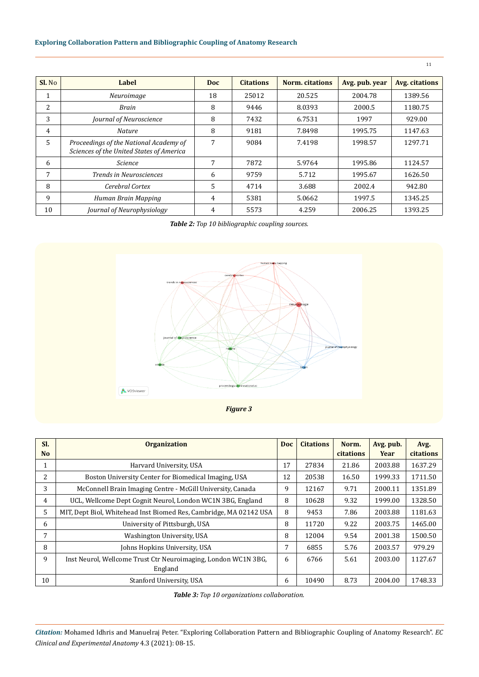# **Exploring Collaboration Pattern and Bibliographic Coupling of Anatomy Research**

| $SL$ No        | Label                                                                              | <b>Doc</b> | <b>Citations</b> | Norm. citations | Avg. pub. year | <b>Avg. citations</b> |
|----------------|------------------------------------------------------------------------------------|------------|------------------|-----------------|----------------|-----------------------|
| T.             | Neuroimage                                                                         | 18         | 25012            | 20.525          | 2004.78        | 1389.56               |
| 2              | Brain                                                                              | 8          | 9446             | 8.0393          | 2000.5         | 1180.75               |
| 3              | Journal of Neuroscience                                                            | 8          | 7432             | 6.7531          | 1997           | 929.00                |
| $\overline{4}$ | <b>Nature</b>                                                                      | 8          | 9181             | 7.8498          | 1995.75        | 1147.63               |
| 5.             | Proceedings of the National Academy of<br>Sciences of the United States of America | 7          | 9084             | 7.4198          | 1998.57        | 1297.71               |
| 6              | <i>Science</i>                                                                     | 7          | 7872             | 5.9764          | 1995.86        | 1124.57               |
| 7              | <b>Trends in Neurosciences</b>                                                     | 6          | 9759             | 5.712           | 1995.67        | 1626.50               |
| 8              | Cerebral Cortex                                                                    | 5          | 4714             | 3.688           | 2002.4         | 942.80                |
| 9              | Human Brain Mapping                                                                | 4          | 5381             | 5.0662          | 1997.5         | 1345.25               |
| 10             | Journal of Neurophysiology                                                         | 4          | 5573             | 4.259           | 2006.25        | 1393.25               |

*Table 2: Top 10 bibliographic coupling sources.*



*Figure 3*

| SI.<br>N <sub>o</sub> | <b>Organization</b>                                                | <b>Doc</b> | <b>Citations</b> | Norm.<br><b>citations</b> | Avg. pub.<br>Year | Avg.<br><b>citations</b> |
|-----------------------|--------------------------------------------------------------------|------------|------------------|---------------------------|-------------------|--------------------------|
| $\mathbf{1}$          | Harvard University, USA                                            | 17         | 27834            | 21.86                     | 2003.88           | 1637.29                  |
| 2                     | Boston University Center for Biomedical Imaging, USA               | 12         | 20538            | 16.50                     | 1999.33           | 1711.50                  |
| 3                     | McConnell Brain Imaging Centre - McGill University, Canada         | 9          | 12167            | 9.71                      | 2000.11           | 1351.89                  |
| $\overline{4}$        | UCL, Wellcome Dept Cognit Neurol, London WC1N 3BG, England         | 8          | 10628            | 9.32                      | 1999.00           | 1328.50                  |
| 5                     | MIT, Dept Biol, Whitehead Inst Biomed Res, Cambridge, MA 02142 USA | 8          | 9453             | 7.86                      | 2003.88           | 1181.63                  |
| 6                     | University of Pittsburgh, USA                                      | 8          | 11720            | 9.22                      | 2003.75           | 1465.00                  |
| 7                     | Washington University, USA                                         | 8          | 12004            | 9.54                      | 2001.38           | 1500.50                  |
| 8                     | Johns Hopkins University, USA                                      | 7          | 6855             | 5.76                      | 2003.57           | 979.29                   |
| 9                     | Inst Neurol, Wellcome Trust Ctr Neuroimaging, London WC1N 3BG,     | 6          | 6766             | 5.61                      | 2003.00           | 1127.67                  |
|                       | England                                                            |            |                  |                           |                   |                          |
| 10                    | Stanford University, USA                                           | 6          | 10490            | 8.73                      | 2004.00           | 1748.33                  |

*Table 3: Top 10 organizations collaboration.*

*Citation:* Mohamed Idhris and Manuelraj Peter. "Exploring Collaboration Pattern and Bibliographic Coupling of Anatomy Research". *EC Clinical and Experimental Anatomy* 4.3 (2021): 08-15.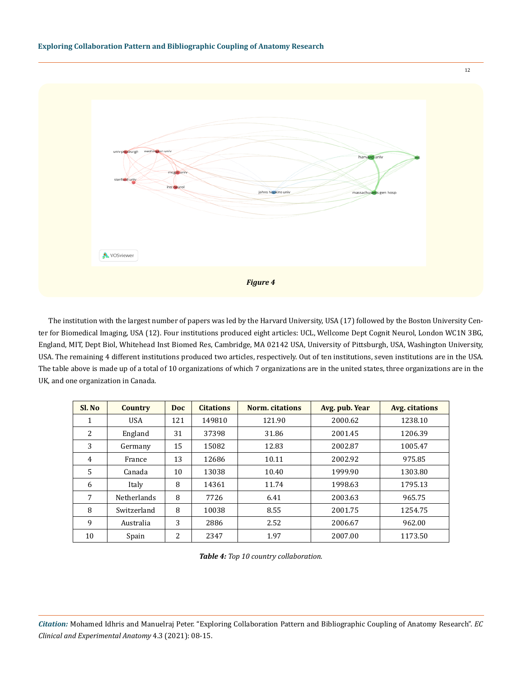

The institution with the largest number of papers was led by the Harvard University, USA (17) followed by the Boston University Center for Biomedical Imaging, USA (12). Four institutions produced eight articles: UCL, Wellcome Dept Cognit Neurol, London WC1N 3BG, England, MIT, Dept Biol, Whitehead Inst Biomed Res, Cambridge, MA 02142 USA, University of Pittsburgh, USA, Washington University, USA. The remaining 4 different institutions produced two articles, respectively. Out of ten institutions, seven institutions are in the USA. The table above is made up of a total of 10 organizations of which 7 organizations are in the united states, three organizations are in the UK, and one organization in Canada.

| Sl. No | <b>Country</b>     | <b>Doc</b> | <b>Citations</b> | Norm. citations | Avg. pub. Year | <b>Avg. citations</b> |
|--------|--------------------|------------|------------------|-----------------|----------------|-----------------------|
| 1      | <b>USA</b>         | 121        | 149810           | 121.90          | 2000.62        | 1238.10               |
| 2      | England            | 31         | 37398            | 31.86           | 2001.45        | 1206.39               |
| 3      | Germany            | 15         | 15082            | 12.83           | 2002.87        | 1005.47               |
| 4      | France             | 13         | 12686            | 10.11           | 2002.92        | 975.85                |
| 5      | Canada             | 10         | 13038            | 10.40           | 1999.90        | 1303.80               |
| 6      | Italy              | 8          | 14361            | 11.74           | 1998.63        | 1795.13               |
| 7      | <b>Netherlands</b> | 8          | 7726             | 6.41            | 2003.63        | 965.75                |
| 8      | Switzerland        | 8          | 10038            | 8.55            | 2001.75        | 1254.75               |
| 9      | Australia          | 3          | 2886             | 2.52            | 2006.67        | 962.00                |
| 10     | Spain              | 2          | 2347             | 1.97            | 2007.00        | 1173.50               |

*Table 4: Top 10 country collaboration.*

*Citation:* Mohamed Idhris and Manuelraj Peter. "Exploring Collaboration Pattern and Bibliographic Coupling of Anatomy Research". *EC Clinical and Experimental Anatomy* 4.3 (2021): 08-15.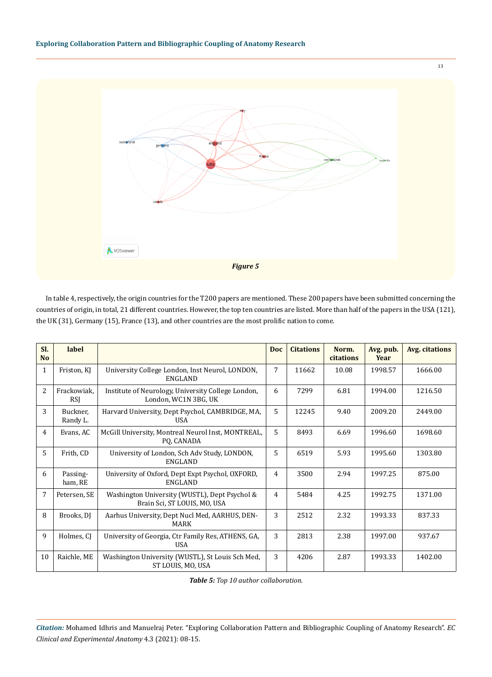

In table 4, respectively, the origin countries for the T200 papers are mentioned. These 200 papers have been submitted concerning the countries of origin, in total, 21 different countries. However, the top ten countries are listed. More than half of the papers in the USA (121), the UK (31), Germany (15), France (13), and other countries are the most prolific nation to come.

| SI.<br><b>No</b> | label                     |                                                                               | <b>Doc</b>     | <b>Citations</b> | Norm.<br>citations | Avg. pub.<br>Year | Avg. citations |
|------------------|---------------------------|-------------------------------------------------------------------------------|----------------|------------------|--------------------|-------------------|----------------|
| 1                | Friston, KJ               | University College London, Inst Neurol, LONDON,<br><b>ENGLAND</b>             | 7              | 11662            | 10.08              | 1998.57           | 1666.00        |
| $\overline{2}$   | Frackowiak,<br><b>RSI</b> | Institute of Neurology, University College London,<br>London, WC1N 3BG, UK    | 6              | 7299             | 6.81               | 1994.00           | 1216.50        |
| 3                | Buckner,<br>Randy L.      | Harvard University, Dept Psychol, CAMBRIDGE, MA,<br>USA                       | 5              | 12245            | 9.40               | 2009.20           | 2449.00        |
| 4                | Evans, AC                 | McGill University, Montreal Neurol Inst, MONTREAL,<br>PO, CANADA              | 5              | 8493             | 6.69               | 1996.60           | 1698.60        |
| 5                | Frith, CD                 | University of London, Sch Adv Study, LONDON,<br><b>ENGLAND</b>                | 5              | 6519             | 5.93               | 1995.60           | 1303.80        |
| 6                | Passing-<br>ham, RE       | University of Oxford, Dept Expt Psychol, OXFORD,<br><b>ENGLAND</b>            | 4              | 3500             | 2.94               | 1997.25           | 875.00         |
| 7                | Petersen, SE              | Washington University (WUSTL), Dept Psychol &<br>Brain Sci, ST LOUIS, MO, USA | $\overline{4}$ | 5484             | 4.25               | 1992.75           | 1371.00        |
| 8                | Brooks, DJ                | Aarhus University, Dept Nucl Med, AARHUS, DEN-<br><b>MARK</b>                 | 3              | 2512             | 2.32               | 1993.33           | 837.33         |
| 9                | Holmes, CI                | University of Georgia, Ctr Family Res, ATHENS, GA,<br><b>USA</b>              | 3              | 2813             | 2.38               | 1997.00           | 937.67         |
| 10               | Raichle, ME               | Washington University (WUSTL), St Louis Sch Med,<br>ST LOUIS, MO, USA         | 3              | 4206             | 2.87               | 1993.33           | 1402.00        |

*Table 5: Top 10 author collaboration.*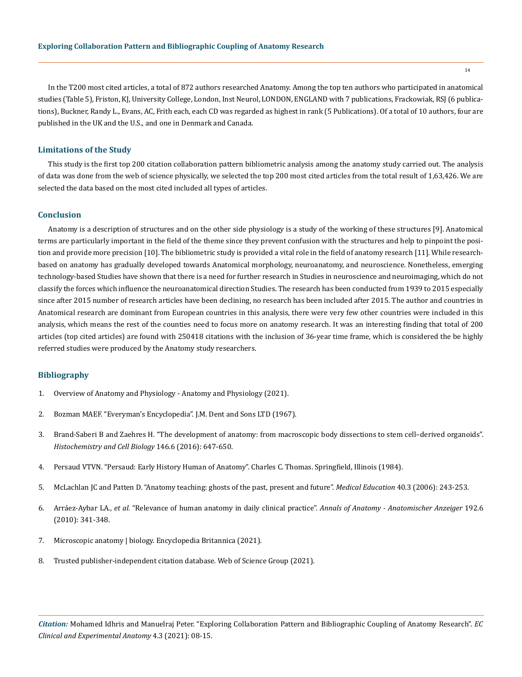In the T200 most cited articles, a total of 872 authors researched Anatomy. Among the top ten authors who participated in anatomical studies (Table 5), Friston, KJ, University College, London, Inst Neurol, LONDON, ENGLAND with 7 publications, Frackowiak, RSJ (6 publications), Buckner, Randy L., Evans, AC, Frith each, each CD was regarded as highest in rank (5 Publications). Of a total of 10 authors, four are published in the UK and the U.S., and one in Denmark and Canada.

#### **Limitations of the Study**

This study is the first top 200 citation collaboration pattern bibliometric analysis among the anatomy study carried out. The analysis of data was done from the web of science physically, we selected the top 200 most cited articles from the total result of 1,63,426. We are selected the data based on the most cited included all types of articles.

#### **Conclusion**

Anatomy is a description of structures and on the other side physiology is a study of the working of these structures [9]. Anatomical terms are particularly important in the field of the theme since they prevent confusion with the structures and help to pinpoint the position and provide more precision [10]. The bibliometric study is provided a vital role in the field of anatomy research [11]. While researchbased on anatomy has gradually developed towards Anatomical morphology, neuroanatomy, and neuroscience. Nonetheless, emerging technology-based Studies have shown that there is a need for further research in Studies in neuroscience and neuroimaging, which do not classify the forces which influence the neuroanatomical direction Studies. The research has been conducted from 1939 to 2015 especially since after 2015 number of research articles have been declining, no research has been included after 2015. The author and countries in Anatomical research are dominant from European countries in this analysis, there were very few other countries were included in this analysis, which means the rest of the counties need to focus more on anatomy research. It was an interesting finding that total of 200 articles (top cited articles) are found with 250418 citations with the inclusion of 36-year time frame, which is considered the be highly referred studies were produced by the Anatomy study researchers.

#### **Bibliography**

- 1. [Overview of Anatomy and Physiology Anatomy and Physiology \(2021\).](https://openstax.org/books/anatomy-and-physiology/pages/1-1-overview-of-anatomy-and-physiology)
- 2. [Bozman MAEF. "Everyman's Encyclopedia". J.M. Dent and Sons LTD \(1967\).](https://en.wikipedia.org/wiki/Everyman%27s_Encyclopaedia)
- 3. [Brand-Saberi B and Zaehres H. "The development of anatomy: from macroscopic body dissections to stem cell–derived organoids".](https://pubmed.ncbi.nlm.nih.gov/27695942/) *[Histochemistry and Cell Biology](https://pubmed.ncbi.nlm.nih.gov/27695942/)* 146.6 (2016): 647-650.
- 4. Persaud VTVN. "Persaud: Early History Human of Anatomy". Charles C. Thomas. Springfield, Illinois (1984).
- 5. [McLachlan JC and Patten D. "Anatomy teaching: ghosts of the past, present and future".](https://pubmed.ncbi.nlm.nih.gov/16483327/) *Medical Education* 40.3 (2006): 243-253.
- 6. Arráez-Aybar LA., *et al.* ["Relevance of human anatomy in daily clinical practice".](https://pubmed.ncbi.nlm.nih.gov/20591641/) *Annals of Anatomy Anatomischer Anzeiger* 192.6 [\(2010\): 341-348.](https://pubmed.ncbi.nlm.nih.gov/20591641/)
- 7. [Microscopic anatomy | biology. Encyclopedia Britannica \(2021\).](https://www.britannica.com/science/microscopic-anatomy)
- 8. [Trusted publisher-independent citation database. Web of Science Group \(2021\).](https://clarivate.com/webofsciencegroup/solutions/web-of-science/)